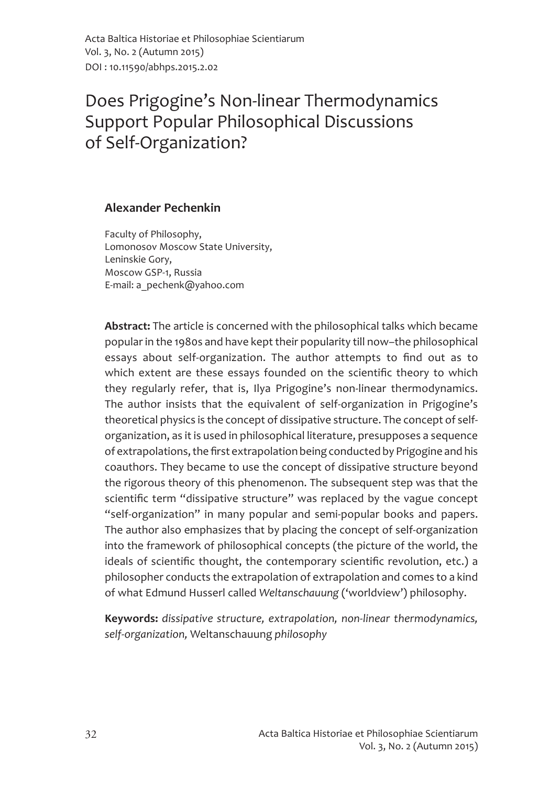Acta Baltica Historiae et Philosophiae Scientiarum Vol. 3, No. 2 (Autumn 2015) DOI: 10.11590/abhps.2015.2.02

# Does Prigogine's Non-linear Thermodynamics **Support Popular Philosophical Discussions** of Self-Organization?

#### **Alexander Pechenkin**

Faculty of Philosophy, Lomonosov Moscow State University, Leninskie Gory, Moscow GSP-1, Russia E-mail: a pechenk@yahoo.com

Abstract: The article is concerned with the philosophical talks which became popular in the 1980s and have kept their popularity till now-the philosophical essays about self-organization. The author attempts to find out as to which extent are these essays founded on the scientific theory to which they regularly refer, that is, Ilya Prigogine's non-linear thermodynamics. The author insists that the equivalent of self-organization in Prigogine's theoretical physics is the concept of dissipative structure. The concept of selforganization, as it is used in philosophical literature, presupposes a sequence of extrapolations, the first extrapolation being conducted by Prigogine and his coauthors. They became to use the concept of dissipative structure beyond the rigorous theory of this phenomenon. The subsequent step was that the scientific term "dissipative structure" was replaced by the vague concept "self-organization" in many popular and semi-popular books and papers. The author also emphasizes that by placing the concept of self-organization into the framework of philosophical concepts (the picture of the world, the ideals of scientific thought, the contemporary scientific revolution, etc.) a philosopher conducts the extrapolation of extrapolation and comes to a kind of what Edmund Husserl called Weltanschauung ('worldview') philosophy.

Keywords: dissipative structure, extrapolation, non-linear thermodynamics, self-organization, Weltanschauung philosophy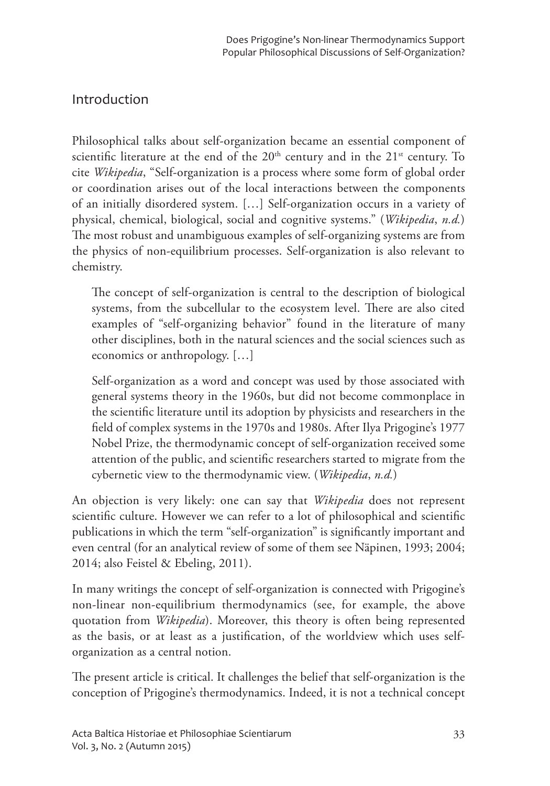# Introduction

Philosophical talks about self-organization became an essential component of scientific literature at the end of the 20<sup>th</sup> century and in the 21<sup>st</sup> century. To cite Wikipedia, "Self-organization is a process where some form of global order or coordination arises out of the local interactions between the components of an initially disordered system. [...] Self-organization occurs in a variety of physical, chemical, biological, social and cognitive systems." (Wikipedia, n.d.) The most robust and unambiguous examples of self-organizing systems are from the physics of non-equilibrium processes. Self-organization is also relevant to chemistry.

The concept of self-organization is central to the description of biological systems, from the subcellular to the ecosystem level. There are also cited examples of "self-organizing behavior" found in the literature of many other disciplines, both in the natural sciences and the social sciences such as economics or anthropology. [...]

Self-organization as a word and concept was used by those associated with general systems theory in the 1960s, but did not become commonplace in the scientific literature until its adoption by physicists and researchers in the field of complex systems in the 1970s and 1980s. After Ilya Prigogine's 1977 Nobel Prize, the thermodynamic concept of self-organization received some attention of the public, and scientific researchers started to migrate from the cybernetic view to the thermodynamic view. (Wikipedia, n.d.)

An objection is very likely: one can say that Wikipedia does not represent scientific culture. However we can refer to a lot of philosophical and scientific publications in which the term "self-organization" is significantly important and even central (for an analytical review of some of them see Näpinen, 1993; 2004; 2014; also Feistel & Ebeling, 2011).

In many writings the concept of self-organization is connected with Prigogine's non-linear non-equilibrium thermodynamics (see, for example, the above quotation from *Wikipedia*). Moreover, this theory is often being represented as the basis, or at least as a justification, of the worldview which uses selforganization as a central notion.

The present article is critical. It challenges the belief that self-organization is the conception of Prigogine's thermodynamics. Indeed, it is not a technical concept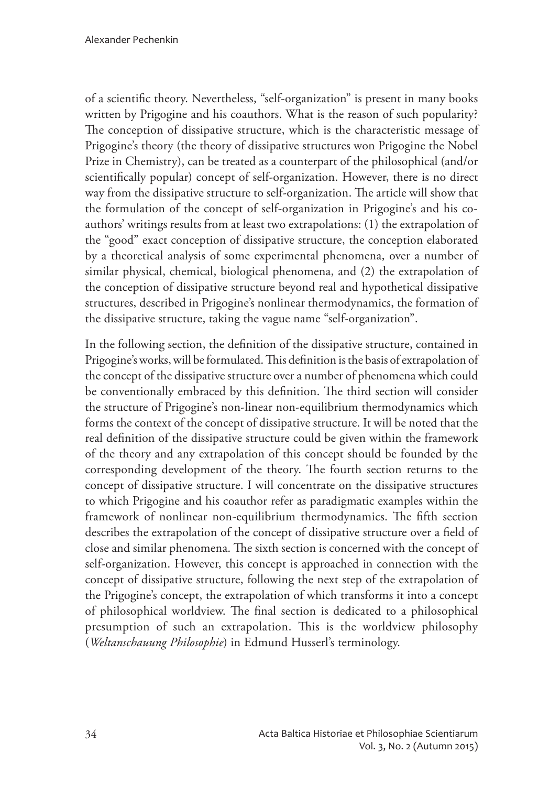of a scientific theory. Nevertheless, "self-organization" is present in many books written by Prigogine and his coauthors. What is the reason of such popularity? The conception of dissipative structure, which is the characteristic message of Prigogine's theory (the theory of dissipative structures won Prigogine the Nobel Prize in Chemistry), can be treated as a counterpart of the philosophical (and/or scientifically popular) concept of self-organization. However, there is no direct way from the dissipative structure to self-organization. The article will show that the formulation of the concept of self-organization in Prigogine's and his coauthors' writings results from at least two extrapolations: (1) the extrapolation of the "good" exact conception of dissipative structure, the conception elaborated by a theoretical analysis of some experimental phenomena, over a number of similar physical, chemical, biological phenomena, and (2) the extrapolation of the conception of dissipative structure beyond real and hypothetical dissipative structures, described in Prigogine's nonlinear thermodynamics, the formation of the dissipative structure, taking the vague name "self-organization".

In the following section, the definition of the dissipative structure, contained in Prigogine's works, will be formulated. This definition is the basis of extrapolation of the concept of the dissipative structure over a number of phenomena which could be conventionally embraced by this definition. The third section will consider the structure of Prigogine's non-linear non-equilibrium thermodynamics which forms the context of the concept of dissipative structure. It will be noted that the real definition of the dissipative structure could be given within the framework of the theory and any extrapolation of this concept should be founded by the corresponding development of the theory. The fourth section returns to the concept of dissipative structure. I will concentrate on the dissipative structures to which Prigogine and his coauthor refer as paradigmatic examples within the framework of nonlinear non-equilibrium thermodynamics. The fifth section describes the extrapolation of the concept of dissipative structure over a field of close and similar phenomena. The sixth section is concerned with the concept of self-organization. However, this concept is approached in connection with the concept of dissipative structure, following the next step of the extrapolation of the Prigogine's concept, the extrapolation of which transforms it into a concept of philosophical worldview. The final section is dedicated to a philosophical presumption of such an extrapolation. This is the worldview philosophy (Weltanschauung Philosophie) in Edmund Husserl's terminology.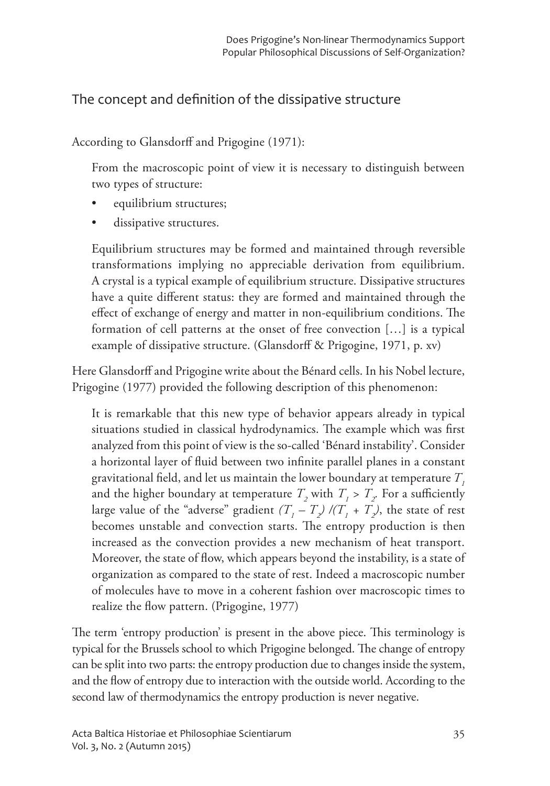# The concept and definition of the dissipative structure

According to Glansdorff and Prigogine (1971):

From the macroscopic point of view it is necessary to distinguish between two types of structure:

- equilibrium structures;
- dissipative structures.

Equilibrium structures may be formed and maintained through reversible transformations implying no appreciable derivation from equilibrium. A crystal is a typical example of equilibrium structure. Dissipative structures have a quite different status: they are formed and maintained through the effect of exchange of energy and matter in non-equilibrium conditions. The formation of cell patterns at the onset of free convection [...] is a typical example of dissipative structure. (Glansdorff & Prigogine, 1971, p. xv)

Here Glansdorff and Prigogine write about the Bénard cells. In his Nobel lecture, Prigogine (1977) provided the following description of this phenomenon:

It is remarkable that this new type of behavior appears already in typical situations studied in classical hydrodynamics. The example which was first analyzed from this point of view is the so-called 'Bénard instability'. Consider a horizontal layer of fluid between two infinite parallel planes in a constant gravitational field, and let us maintain the lower boundary at temperature  $T$ , and the higher boundary at temperature  $T$ , with  $T$ ,  $> T$ , For a sufficiently large value of the "adverse" gradient  $(T<sub>1</sub> - T<sub>2</sub>)/(T<sub>1</sub> + T<sub>2</sub>)$ , the state of rest becomes unstable and convection starts. The entropy production is then increased as the convection provides a new mechanism of heat transport. Moreover, the state of flow, which appears beyond the instability, is a state of organization as compared to the state of rest. Indeed a macroscopic number of molecules have to move in a coherent fashion over macroscopic times to realize the flow pattern. (Prigogine, 1977)

The term 'entropy production' is present in the above piece. This terminology is typical for the Brussels school to which Prigogine belonged. The change of entropy can be split into two parts: the entropy production due to changes inside the system, and the flow of entropy due to interaction with the outside world. According to the second law of thermodynamics the entropy production is never negative.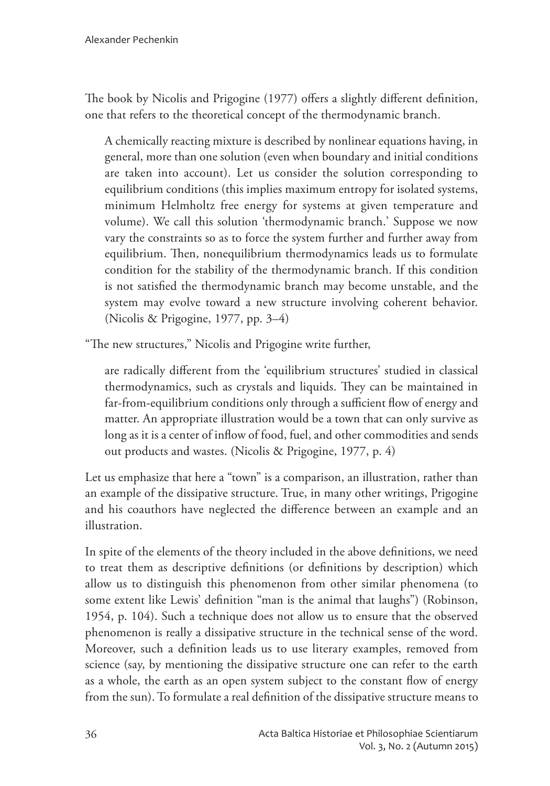The book by Nicolis and Prigogine (1977) offers a slightly different definition, one that refers to the theoretical concept of the thermodynamic branch.

A chemically reacting mixture is described by nonlinear equations having, in general, more than one solution (even when boundary and initial conditions are taken into account). Let us consider the solution corresponding to equilibrium conditions (this implies maximum entropy for isolated systems, minimum Helmholtz free energy for systems at given temperature and volume). We call this solution 'thermodynamic branch.' Suppose we now vary the constraints so as to force the system further and further away from equilibrium. Then, nonequilibrium thermodynamics leads us to formulate condition for the stability of the thermodynamic branch. If this condition is not satisfied the thermodynamic branch may become unstable, and the system may evolve toward a new structure involving coherent behavior. (Nicolis & Prigogine, 1977, pp. 3-4)

"The new structures," Nicolis and Prigogine write further,

are radically different from the 'equilibrium structures' studied in classical thermodynamics, such as crystals and liquids. They can be maintained in far-from-equilibrium conditions only through a sufficient flow of energy and matter. An appropriate illustration would be a town that can only survive as long as it is a center of inflow of food, fuel, and other commodities and sends out products and wastes. (Nicolis & Prigogine, 1977, p. 4)

Let us emphasize that here a "town" is a comparison, an illustration, rather than an example of the dissipative structure. True, in many other writings, Prigogine and his coauthors have neglected the difference between an example and an illustration.

In spite of the elements of the theory included in the above definitions, we need to treat them as descriptive definitions (or definitions by description) which allow us to distinguish this phenomenon from other similar phenomena (to some extent like Lewis' definition "man is the animal that laughs") (Robinson, 1954, p. 104). Such a technique does not allow us to ensure that the observed phenomenon is really a dissipative structure in the technical sense of the word. Moreover, such a definition leads us to use literary examples, removed from science (say, by mentioning the dissipative structure one can refer to the earth as a whole, the earth as an open system subject to the constant flow of energy from the sun). To formulate a real definition of the dissipative structure means to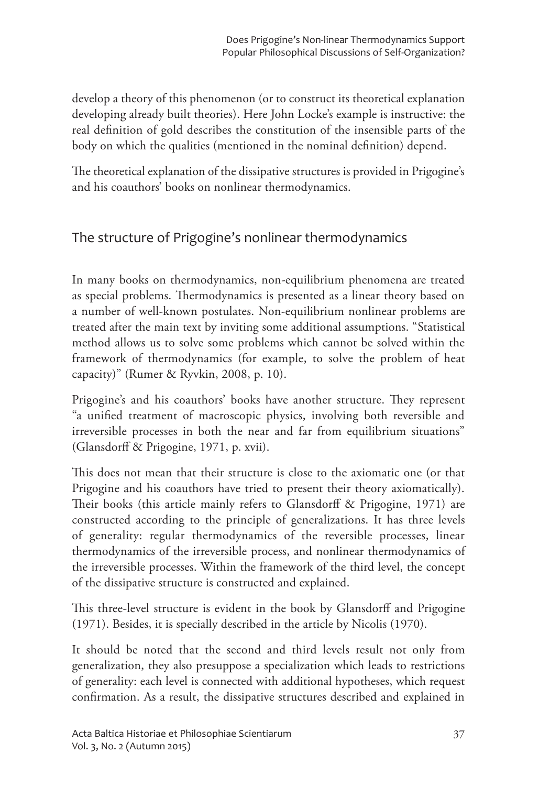develop a theory of this phenomenon (or to construct its theoretical explanation developing already built theories). Here John Locke's example is instructive: the real definition of gold describes the constitution of the insensible parts of the body on which the qualities (mentioned in the nominal definition) depend.

The theoretical explanation of the dissipative structures is provided in Prigogine's and his coauthors' books on nonlinear thermodynamics.

# The structure of Prigogine's nonlinear thermodynamics

In many books on thermodynamics, non-equilibrium phenomena are treated as special problems. Thermodynamics is presented as a linear theory based on a number of well-known postulates. Non-equilibrium nonlinear problems are treated after the main text by inviting some additional assumptions. "Statistical method allows us to solve some problems which cannot be solved within the framework of thermodynamics (for example, to solve the problem of heat capacity)" (Rumer & Ryvkin, 2008, p. 10).

Prigogine's and his coauthors' books have another structure. They represent "a unified treatment of macroscopic physics, involving both reversible and irreversible processes in both the near and far from equilibrium situations" (Glansdorff & Prigogine, 1971, p. xvii).

This does not mean that their structure is close to the axiomatic one (or that Prigogine and his coauthors have tried to present their theory axiomatically). Their books (this article mainly refers to Glansdorff & Prigogine, 1971) are constructed according to the principle of generalizations. It has three levels of generality: regular thermodynamics of the reversible processes, linear thermodynamics of the irreversible process, and nonlinear thermodynamics of the irreversible processes. Within the framework of the third level, the concept of the dissipative structure is constructed and explained.

This three-level structure is evident in the book by Glansdorff and Prigogine (1971). Besides, it is specially described in the article by Nicolis (1970).

It should be noted that the second and third levels result not only from generalization, they also presuppose a specialization which leads to restrictions of generality: each level is connected with additional hypotheses, which request confirmation. As a result, the dissipative structures described and explained in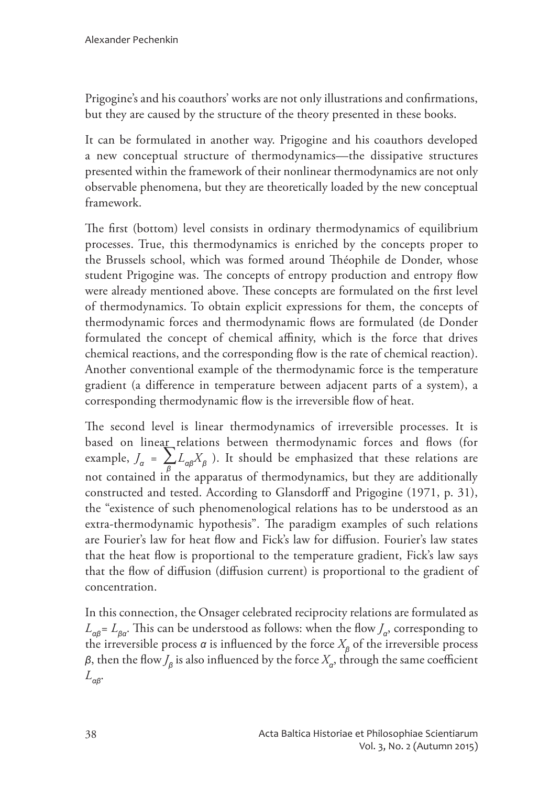Prigogine's and his coauthors' works are not only illustrations and confirmations, but they are caused by the structure of the theory presented in these books.

It can be formulated in another way. Prigogine and his coauthors developed a new conceptual structure of thermodynamics—the dissipative structures presented within the framework of their nonlinear thermodynamics are not only observable phenomena, but they are theoretically loaded by the new conceptual framework.

The first (bottom) level consists in ordinary thermodynamics of equilibrium processes. True, this thermodynamics is enriched by the concepts proper to the Brussels school, which was formed around Théophile de Donder, whose student Prigogine was. The concepts of entropy production and entropy flow were already mentioned above. These concepts are formulated on the first level of thermodynamics. To obtain explicit expressions for them, the concepts of thermodynamic forces and thermodynamic flows are formulated (de Donder formulated the concept of chemical affinity, which is the force that drives chemical reactions, and the corresponding flow is the rate of chemical reaction). Another conventional example of the thermodynamic force is the temperature gradient (a difference in temperature between adjacent parts of a system), a corresponding thermodynamic flow is the irreversible flow of heat.

The second level is linear thermodynamics of irreversible processes. It is based on linear relations between thermodynamic forces and flows (for example,  $J_{\alpha} = \sum_{\beta} L_{\alpha\beta} X_{\beta}$ ). It should be emphasized that these relations are not contained in the apparatus of thermodynamics, but they are additionally constructed and tested. According to Glansdorff and Prigogine (1971, p. 31), the "existence of such phenomenological relations has to be understood as an extra-thermodynamic hypothesis". The paradigm examples of such relations are Fourier's law for heat flow and Fick's law for diffusion. Fourier's law states that the heat flow is proportional to the temperature gradient, Fick's law says that the flow of diffusion (diffusion current) is proportional to the gradient of concentration.

In this connection, the Onsager celebrated reciprocity relations are formulated as  $L_{\alpha\beta} = L_{\beta\alpha}$ . This can be understood as follows: when the flow  $J_{\alpha}$ , corresponding to the irreversible process  $\alpha$  is influenced by the force  $X_{\alpha}$  of the irreversible process  $\beta$ , then the flow  $J_{\beta}$  is also influenced by the force  $X_{\alpha}$ , through the same coefficient  $L_{\alpha\beta}$ .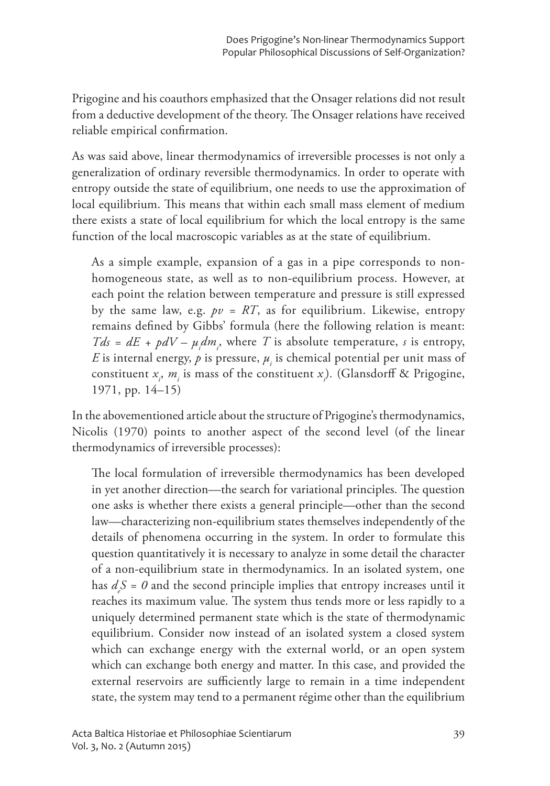Prigogine and his coauthors emphasized that the Onsager relations did not result from a deductive development of the theory. The Onsager relations have received reliable empirical confirmation.

As was said above, linear thermodynamics of irreversible processes is not only a generalization of ordinary reversible thermodynamics. In order to operate with entropy outside the state of equilibrium, one needs to use the approximation of local equilibrium. This means that within each small mass element of medium there exists a state of local equilibrium for which the local entropy is the same function of the local macroscopic variables as at the state of equilibrium.

As a simple example, expansion of a gas in a pipe corresponds to nonhomogeneous state, as well as to non-equilibrium process. However, at each point the relation between temperature and pressure is still expressed by the same law, e.g.  $pv = RT$ , as for equilibrium. Likewise, entropy remains defined by Gibbs' formula (here the following relation is meant:  $Tds = dE + pdV - \mu dm$ , where T is absolute temperature, s is entropy, E is internal energy, p is pressure,  $\mu_i$  is chemical potential per unit mass of constituent  $x_i$ ,  $m_i$  is mass of the constituent  $x_j$ ). (Glansdorff & Prigogine, 1971, pp. 14-15)

In the abovementioned article about the structure of Prigogine's thermodynamics, Nicolis (1970) points to another aspect of the second level (of the linear thermodynamics of irreversible processes):

The local formulation of irreversible thermodynamics has been developed in yet another direction—the search for variational principles. The question one asks is whether there exists a general principle—other than the second law—characterizing non-equilibrium states themselves independently of the details of phenomena occurring in the system. In order to formulate this question quantitatively it is necessary to analyze in some detail the character of a non-equilibrium state in thermodynamics. In an isolated system, one has  $d_sS = 0$  and the second principle implies that entropy increases until it reaches its maximum value. The system thus tends more or less rapidly to a uniquely determined permanent state which is the state of thermodynamic equilibrium. Consider now instead of an isolated system a closed system which can exchange energy with the external world, or an open system which can exchange both energy and matter. In this case, and provided the external reservoirs are sufficiently large to remain in a time independent state, the system may tend to a permanent régime other than the equilibrium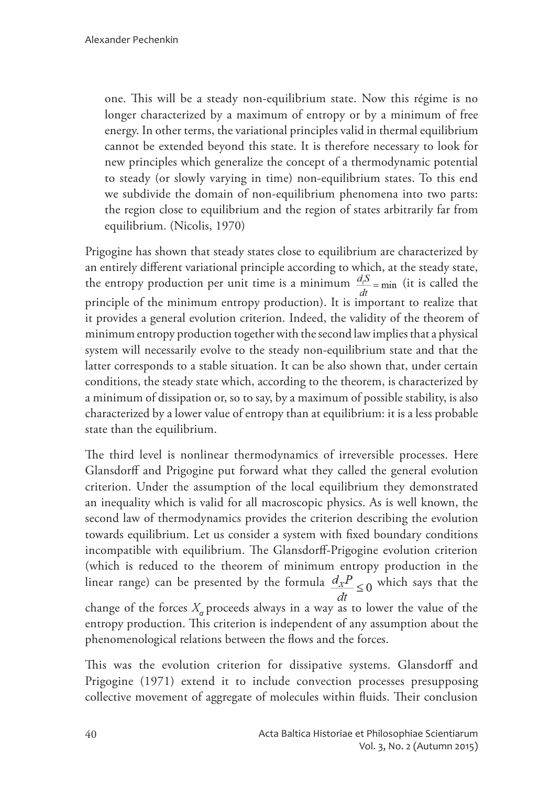one. This will be a steady non-equilibrium state. Now this régime is no longer characterized by a maximum of entropy or by a minimum of free energy. In other terms, the variational principles valid in thermal equilibrium cannot be extended beyond this state. It is therefore necessary to look for new principles which generalize the concept of a thermodynamic potential to steady (or slowly varying in time) non-equilibrium states. To this end we subdivide the domain of non-equilibrium phenomena into two parts: the region close to equilibrium and the region of states arbitrarily far from equilibrium. (Nicolis, 1970)

Prigogine has shown that steady states close to equilibrium are characterized by an entirely different variational principle according to which, at the steady state, the entropy production per unit time is a minimum  $\frac{d_i S}{dt}$  = min (it is called the principle of the minimum entropy production). It is important to realize that it provides a general evolution criterion. Indeed, the validity of the theorem of minimum entropy production together with the second law implies that a physical system will necessarily evolve to the steady non-equilibrium state and that the latter corresponds to a stable situation. It can be also shown that, under certain conditions, the steady state which, according to the theorem, is characterized by a minimum of dissipation or, so to say, by a maximum of possible stability, is also characterized by a lower value of entropy than at equilibrium: it is a less probable state than the equilibrium.

The third level is nonlinear thermodynamics of irreversible processes. Here Glansdorff and Prigogine put forward what they called the general evolution criterion. Under the assumption of the local equilibrium they demonstrated an inequality which is valid for all macroscopic physics. As is well known, the second law of thermodynamics provides the criterion describing the evolution towards equilibrium. Let us consider a system with fixed boundary conditions incompatible with equilibrium. The Glansdorff-Prigogine evolution criterion (which is reduced to the theorem of minimum entropy production in the linear range) can be presented by the formula  $\frac{d_x P}{d_y} \leq 0$  which says that the change of the forces  $X_{\alpha}$  proceeds always in a way as to lower the value of the entropy production. This criterion is independent of any assumption about the phenomenological relations between the flows and the forces.

This was the evolution criterion for dissipative systems. Glansdorff and Prigogine (1971) extend it to include convection processes presupposing collective movement of aggregate of molecules within fluids. Their conclusion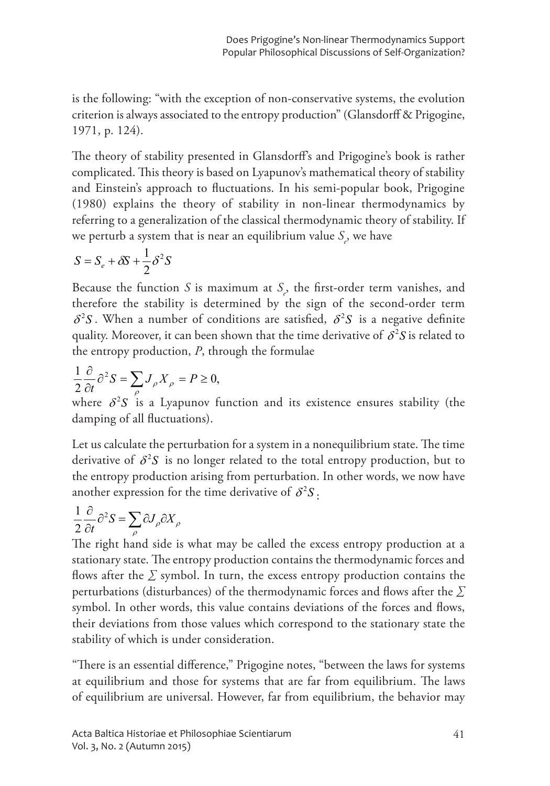is the following: "with the exception of non-conservative systems, the evolution criterion is always associated to the entropy production" (Glansdorff & Prigogine, 1971, p. 124).

The theory of stability presented in Glansdorff's and Prigogine's book is rather complicated. This theory is based on Lyapunov's mathematical theory of stability and Einstein's approach to fluctuations. In his semi-popular book, Prigogine (1980) explains the theory of stability in non-linear thermodynamics by referring to a generalization of the classical thermodynamic theory of stability. If we perturb a system that is near an equilibrium value  $S$ , we have

$$
S = S_e + \delta S + \frac{1}{2} \delta^2 S
$$

Because the function  $S$  is maximum at  $S$ , the first-order term vanishes, and therefore the stability is determined by the sign of the second-order term  $\delta^2 S$ . When a number of conditions are satisfied,  $\delta^2 S$  is a negative definite quality. Moreover, it can been shown that the time derivative of  $\delta^2 S$  is related to the entropy production,  $P$ , through the formulae

$$
\frac{1}{2}\frac{\partial}{\partial t}\partial^2 S = \sum_{\rho} J_{\rho} X_{\rho} = P \ge 0,
$$

where  $\delta^2 S$  is a Lyapunov function and its existence ensures stability (the damping of all fluctuations).

Let us calculate the perturbation for a system in a nonequilibrium state. The time derivative of  $\delta^2 S$  is no longer related to the total entropy production, but to the entropy production arising from perturbation. In other words, we now have another expression for the time derivative of  $\delta^2 S$ .

$$
\frac{1}{2}\frac{\partial}{\partial t}\partial^2 S = \sum_{\rho} \partial J_{\rho} \partial X_{\rho}
$$

The right hand side is what may be called the excess entropy production at a stationary state. The entropy production contains the thermodynamic forces and flows after the  $\Sigma$  symbol. In turn, the excess entropy production contains the perturbations (disturbances) of the thermodynamic forces and flows after the  $\Sigma$ symbol. In other words, this value contains deviations of the forces and flows, their deviations from those values which correspond to the stationary state the stability of which is under consideration.

"There is an essential difference," Prigogine notes, "between the laws for systems at equilibrium and those for systems that are far from equilibrium. The laws of equilibrium are universal. However, far from equilibrium, the behavior may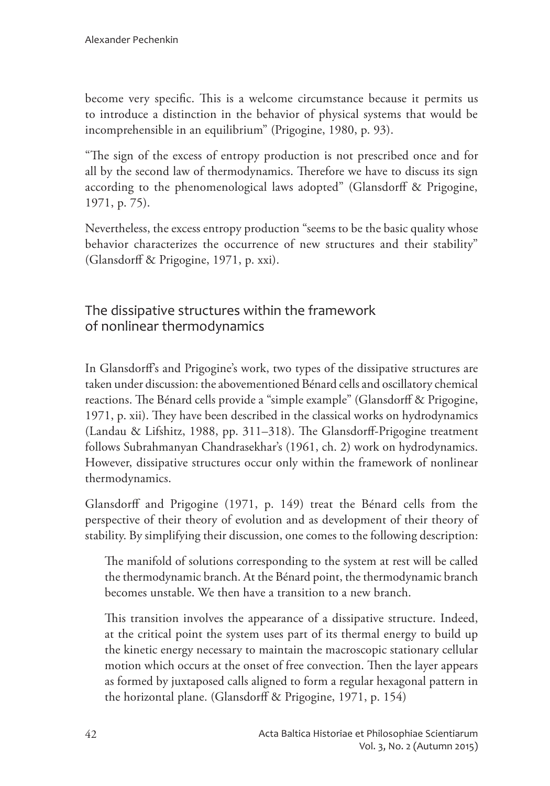become very specific. This is a welcome circumstance because it permits us to introduce a distinction in the behavior of physical systems that would be incomprehensible in an equilibrium" (Prigogine, 1980, p. 93).

"The sign of the excess of entropy production is not prescribed once and for all by the second law of thermodynamics. Therefore we have to discuss its sign according to the phenomenological laws adopted" (Glansdorff & Prigogine,  $1971, p. 75$ ).

Nevertheless, the excess entropy production "seems to be the basic quality whose behavior characterizes the occurrence of new structures and their stability" (Glansdorff & Prigogine, 1971, p. xxi).

The dissipative structures within the framework of nonlinear thermodynamics

In Glansdorff's and Prigogine's work, two types of the dissipative structures are taken under discussion: the abovementioned Bénard cells and oscillatory chemical reactions. The Bénard cells provide a "simple example" (Glansdorff & Prigogine, 1971, p. xii). They have been described in the classical works on hydrodynamics (Landau & Lifshitz, 1988, pp. 311–318). The Glansdorff-Prigogine treatment follows Subrahmanyan Chandrasekhar's (1961, ch. 2) work on hydrodynamics. However, dissipative structures occur only within the framework of nonlinear thermodynamics.

Glansdorff and Prigogine (1971, p. 149) treat the Bénard cells from the perspective of their theory of evolution and as development of their theory of stability. By simplifying their discussion, one comes to the following description:

The manifold of solutions corresponding to the system at rest will be called the thermodynamic branch. At the Bénard point, the thermodynamic branch becomes unstable. We then have a transition to a new branch.

This transition involves the appearance of a dissipative structure. Indeed, at the critical point the system uses part of its thermal energy to build up the kinetic energy necessary to maintain the macroscopic stationary cellular motion which occurs at the onset of free convection. Then the layer appears as formed by juxtaposed calls aligned to form a regular hexagonal pattern in the horizontal plane. (Glansdorff & Prigogine, 1971, p. 154)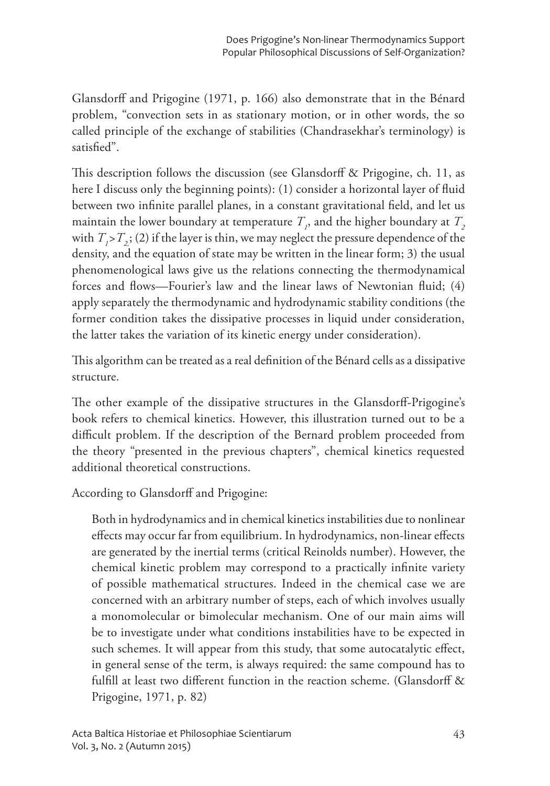Glansdorff and Prigogine (1971, p. 166) also demonstrate that in the Bénard problem, "convection sets in as stationary motion, or in other words, the so called principle of the exchange of stabilities (Chandrasekhar's terminology) is satisfied".

This description follows the discussion (see Glansdorff & Prigogine, ch. 11, as here I discuss only the beginning points): (1) consider a horizontal layer of fluid between two infinite parallel planes, in a constant gravitational field, and let us maintain the lower boundary at temperature  $T<sub>o</sub>$ , and the higher boundary at  $T<sub>o</sub>$ with  $T_1 > T_2$ ; (2) if the layer is thin, we may neglect the pressure dependence of the density, and the equation of state may be written in the linear form; 3) the usual phenomenological laws give us the relations connecting the thermodynamical forces and flows—Fourier's law and the linear laws of Newtonian fluid; (4) apply separately the thermodynamic and hydrodynamic stability conditions (the former condition takes the dissipative processes in liquid under consideration, the latter takes the variation of its kinetic energy under consideration).

This algorithm can be treated as a real definition of the Bénard cells as a dissipative structure.

The other example of the dissipative structures in the Glansdorff-Prigogine's book refers to chemical kinetics. However, this illustration turned out to be a difficult problem. If the description of the Bernard problem proceeded from the theory "presented in the previous chapters", chemical kinetics requested additional theoretical constructions.

According to Glansdorff and Prigogine:

Both in hydrodynamics and in chemical kinetics instabilities due to nonlinear effects may occur far from equilibrium. In hydrodynamics, non-linear effects are generated by the inertial terms (critical Reinolds number). However, the chemical kinetic problem may correspond to a practically infinite variety of possible mathematical structures. Indeed in the chemical case we are concerned with an arbitrary number of steps, each of which involves usually a monomolecular or bimolecular mechanism. One of our main aims will be to investigate under what conditions instabilities have to be expected in such schemes. It will appear from this study, that some autocatalytic effect, in general sense of the term, is always required: the same compound has to fulfill at least two different function in the reaction scheme. (Glansdorff & Prigogine, 1971, p. 82)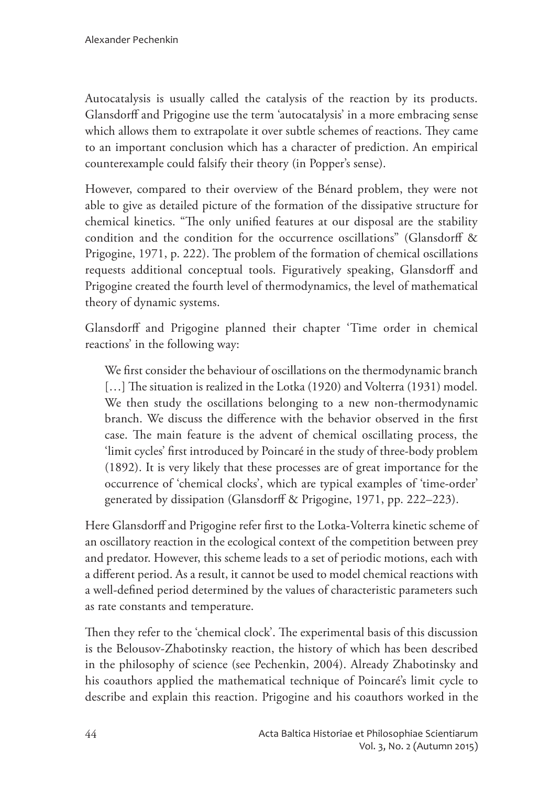Autocatalysis is usually called the catalysis of the reaction by its products. Glansdorff and Prigogine use the term 'autocatalysis' in a more embracing sense which allows them to extrapolate it over subtle schemes of reactions. They came to an important conclusion which has a character of prediction. An empirical counterexample could falsify their theory (in Popper's sense).

However, compared to their overview of the Bénard problem, they were not able to give as detailed picture of the formation of the dissipative structure for chemical kinetics. "The only unified features at our disposal are the stability condition and the condition for the occurrence oscillations" (Glansdorff & Prigogine, 1971, p. 222). The problem of the formation of chemical oscillations requests additional conceptual tools. Figuratively speaking, Glansdorff and Prigogine created the fourth level of thermodynamics, the level of mathematical theory of dynamic systems.

Glansdorff and Prigogine planned their chapter 'Time order in chemical reactions' in the following way:

We first consider the behaviour of oscillations on the thermodynamic branch [...] The situation is realized in the Lotka (1920) and Volterra (1931) model. We then study the oscillations belonging to a new non-thermodynamic branch. We discuss the difference with the behavior observed in the first case. The main feature is the advent of chemical oscillating process, the 'limit cycles' first introduced by Poincaré in the study of three-body problem (1892). It is very likely that these processes are of great importance for the occurrence of 'chemical clocks', which are typical examples of 'time-order' generated by dissipation (Glansdorff & Prigogine, 1971, pp. 222–223).

Here Glansdorff and Prigogine refer first to the Lotka-Volterra kinetic scheme of an oscillatory reaction in the ecological context of the competition between prey and predator. However, this scheme leads to a set of periodic motions, each with a different period. As a result, it cannot be used to model chemical reactions with a well-defined period determined by the values of characteristic parameters such as rate constants and temperature.

Then they refer to the 'chemical clock'. The experimental basis of this discussion is the Belousov-Zhabotinsky reaction, the history of which has been described in the philosophy of science (see Pechenkin, 2004). Already Zhabotinsky and his coauthors applied the mathematical technique of Poincaré's limit cycle to describe and explain this reaction. Prigogine and his coauthors worked in the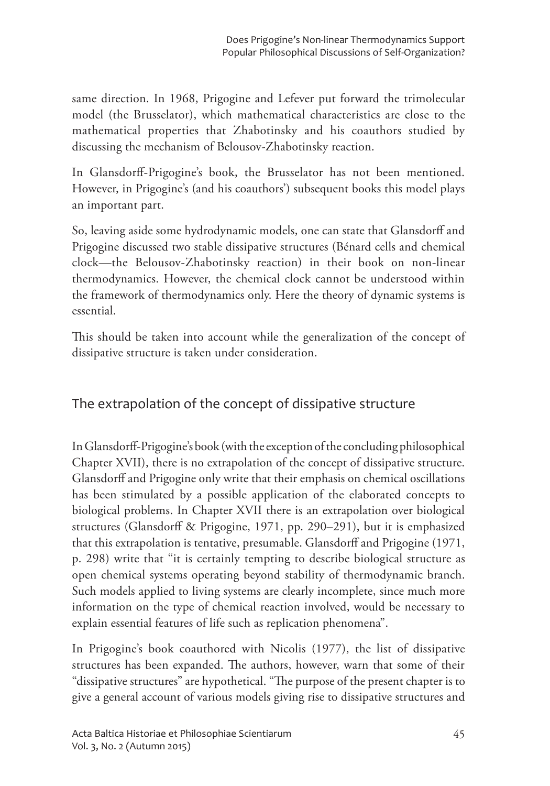same direction. In 1968, Prigogine and Lefever put forward the trimolecular model (the Brusselator), which mathematical characteristics are close to the mathematical properties that Zhabotinsky and his coauthors studied by discussing the mechanism of Belousov-Zhabotinsky reaction.

In Glansdorff-Prigogine's book, the Brusselator has not been mentioned. However, in Prigogine's (and his coauthors') subsequent books this model plays an important part.

So, leaving aside some hydrodynamic models, one can state that Glansdorff and Prigogine discussed two stable dissipative structures (Bénard cells and chemical clock—the Belousov-Zhabotinsky reaction) in their book on non-linear thermodynamics. However, the chemical clock cannot be understood within the framework of thermodynamics only. Here the theory of dynamic systems is essential.

This should be taken into account while the generalization of the concept of dissipative structure is taken under consideration.

## The extrapolation of the concept of dissipative structure

In Glansdorff-Prigogine's book (with the exception of the concluding philosophical Chapter XVII), there is no extrapolation of the concept of dissipative structure. Glansdorff and Prigogine only write that their emphasis on chemical oscillations has been stimulated by a possible application of the elaborated concepts to biological problems. In Chapter XVII there is an extrapolation over biological structures (Glansdorff & Prigogine, 1971, pp. 290–291), but it is emphasized that this extrapolation is tentative, presumable. Glansdorff and Prigogine (1971, p. 298) write that "it is certainly tempting to describe biological structure as open chemical systems operating beyond stability of thermodynamic branch. Such models applied to living systems are clearly incomplete, since much more information on the type of chemical reaction involved, would be necessary to explain essential features of life such as replication phenomena".

In Prigogine's book coauthored with Nicolis (1977), the list of dissipative structures has been expanded. The authors, however, warn that some of their "dissipative structures" are hypothetical. "The purpose of the present chapter is to give a general account of various models giving rise to dissipative structures and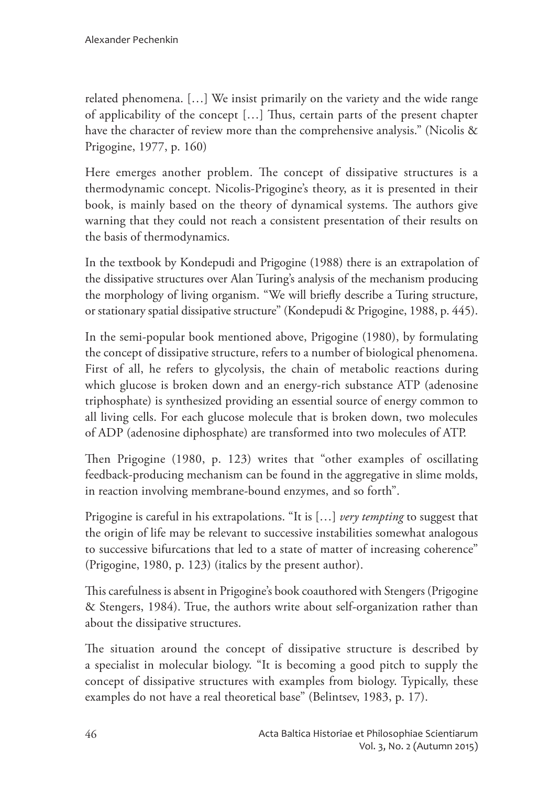related phenomena. [...] We insist primarily on the variety and the wide range of applicability of the concept [...] Thus, certain parts of the present chapter have the character of review more than the comprehensive analysis." (Nicolis & Prigogine, 1977, p. 160)

Here emerges another problem. The concept of dissipative structures is a thermodynamic concept. Nicolis-Prigogine's theory, as it is presented in their book, is mainly based on the theory of dynamical systems. The authors give warning that they could not reach a consistent presentation of their results on the basis of thermodynamics.

In the textbook by Kondepudi and Prigogine (1988) there is an extrapolation of the dissipative structures over Alan Turing's analysis of the mechanism producing the morphology of living organism. "We will briefly describe a Turing structure, or stationary spatial dissipative structure" (Kondepudi & Prigogine, 1988, p. 445).

In the semi-popular book mentioned above, Prigogine (1980), by formulating the concept of dissipative structure, refers to a number of biological phenomena. First of all, he refers to glycolysis, the chain of metabolic reactions during which glucose is broken down and an energy-rich substance ATP (adenosine triphosphate) is synthesized providing an essential source of energy common to all living cells. For each glucose molecule that is broken down, two molecules of ADP (adenosine diphosphate) are transformed into two molecules of ATP.

Then Prigogine (1980, p. 123) writes that "other examples of oscillating feedback-producing mechanism can be found in the aggregative in slime molds, in reaction involving membrane-bound enzymes, and so forth".

Prigogine is careful in his extrapolations. "It is [...] very tempting to suggest that the origin of life may be relevant to successive instabilities somewhat analogous to successive bifurcations that led to a state of matter of increasing coherence" (Prigogine, 1980, p. 123) (italics by the present author).

This carefulness is absent in Prigogine's book coauthored with Stengers (Prigogine & Stengers, 1984). True, the authors write about self-organization rather than about the dissipative structures.

The situation around the concept of dissipative structure is described by a specialist in molecular biology. "It is becoming a good pitch to supply the concept of dissipative structures with examples from biology. Typically, these examples do not have a real theoretical base" (Belintsev, 1983, p. 17).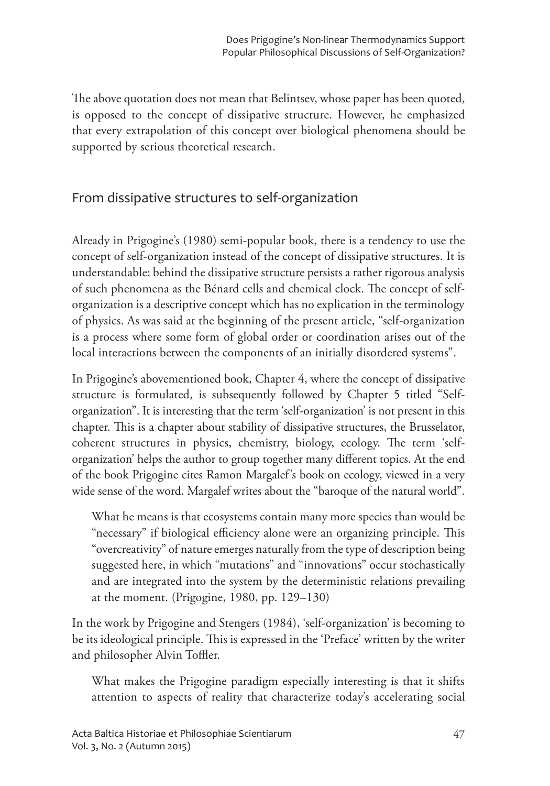The above quotation does not mean that Belintsev, whose paper has been quoted, is opposed to the concept of dissipative structure. However, he emphasized that every extrapolation of this concept over biological phenomena should be supported by serious theoretical research.

## From dissipative structures to self-organization

Already in Prigogine's (1980) semi-popular book, there is a tendency to use the concept of self-organization instead of the concept of dissipative structures. It is understandable: behind the dissipative structure persists a rather rigorous analysis of such phenomena as the Bénard cells and chemical clock. The concept of selforganization is a descriptive concept which has no explication in the terminology of physics. As was said at the beginning of the present article, "self-organization is a process where some form of global order or coordination arises out of the local interactions between the components of an initially disordered systems".

In Prigogine's abovementioned book, Chapter 4, where the concept of dissipative structure is formulated, is subsequently followed by Chapter 5 titled "Selforganization". It is interesting that the term 'self-organization' is not present in this chapter. This is a chapter about stability of dissipative structures, the Brusselator, coherent structures in physics, chemistry, biology, ecology. The term 'selforganization' helps the author to group together many different topics. At the end of the book Prigogine cites Ramon Margalef's book on ecology, viewed in a very wide sense of the word. Margalef writes about the "baroque of the natural world".

What he means is that ecosystems contain many more species than would be "necessary" if biological efficiency alone were an organizing principle. This "overcreativity" of nature emerges naturally from the type of description being suggested here, in which "mutations" and "innovations" occur stochastically and are integrated into the system by the deterministic relations prevailing at the moment. (Prigogine, 1980, pp. 129–130)

In the work by Prigogine and Stengers (1984), 'self-organization' is becoming to be its ideological principle. This is expressed in the 'Preface' written by the writer and philosopher Alvin Toffler.

What makes the Prigogine paradigm especially interesting is that it shifts attention to aspects of reality that characterize today's accelerating social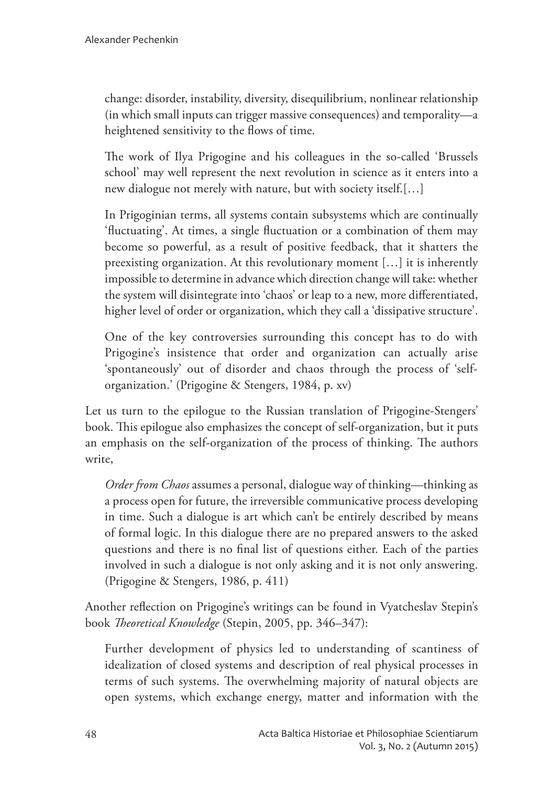change: disorder, instability, diversity, disequilibrium, nonlinear relationship (in which small inputs can trigger massive consequences) and temporality—a heightened sensitivity to the flows of time.

The work of Ilya Prigogine and his colleagues in the so-called 'Brussels' school' may well represent the next revolution in science as it enters into a new dialogue not merely with nature, but with society itself.[...]

In Prigoginian terms, all systems contain subsystems which are continually 'fluctuating'. At times, a single fluctuation or a combination of them may become so powerful, as a result of positive feedback, that it shatters the preexisting organization. At this revolutionary moment  $\left[\ldots\right]$  it is inherently impossible to determine in advance which direction change will take: whether the system will disintegrate into 'chaos' or leap to a new, more differentiated, higher level of order or organization, which they call a 'dissipative structure'.

One of the key controversies surrounding this concept has to do with Prigogine's insistence that order and organization can actually arise 'spontaneously' out of disorder and chaos through the process of 'selforganization.' (Prigogine & Stengers, 1984, p. xv)

Let us turn to the epilogue to the Russian translation of Prigogine-Stengers' book. This epilogue also emphasizes the concept of self-organization, but it puts an emphasis on the self-organization of the process of thinking. The authors write.

*Order from Chaos* assumes a personal, dialogue way of thinking—thinking as a process open for future, the irreversible communicative process developing in time. Such a dialogue is art which can't be entirely described by means of formal logic. In this dialogue there are no prepared answers to the asked questions and there is no final list of questions either. Each of the parties involved in such a dialogue is not only asking and it is not only answering. (Prigogine & Stengers, 1986, p. 411)

Another reflection on Prigogine's writings can be found in Vyatcheslav Stepin's book Theoretical Knowledge (Stepin, 2005, pp. 346-347):

Further development of physics led to understanding of scantiness of idealization of closed systems and description of real physical processes in terms of such systems. The overwhelming majority of natural objects are open systems, which exchange energy, matter and information with the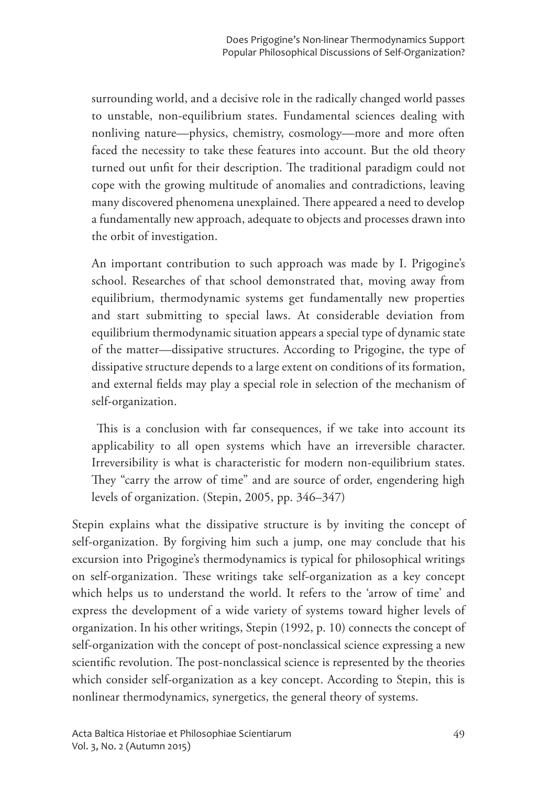surrounding world, and a decisive role in the radically changed world passes to unstable, non-equilibrium states. Fundamental sciences dealing with nonliving nature-physics, chemistry, cosmology-more and more often faced the necessity to take these features into account. But the old theory turned out unfit for their description. The traditional paradigm could not cope with the growing multitude of anomalies and contradictions, leaving many discovered phenomena unexplained. There appeared a need to develop a fundamentally new approach, adequate to objects and processes drawn into the orbit of investigation.

An important contribution to such approach was made by I. Prigogine's school. Researches of that school demonstrated that, moving away from equilibrium, thermodynamic systems get fundamentally new properties and start submitting to special laws. At considerable deviation from equilibrium thermodynamic situation appears a special type of dynamic state of the matter-dissipative structures. According to Prigogine, the type of dissipative structure depends to a large extent on conditions of its formation, and external fields may play a special role in selection of the mechanism of self-organization.

This is a conclusion with far consequences, if we take into account its applicability to all open systems which have an irreversible character. Irreversibility is what is characteristic for modern non-equilibrium states. They "carry the arrow of time" and are source of order, engendering high levels of organization. (Stepin, 2005, pp. 346–347)

Stepin explains what the dissipative structure is by inviting the concept of self-organization. By forgiving him such a jump, one may conclude that his excursion into Prigogine's thermodynamics is typical for philosophical writings on self-organization. These writings take self-organization as a key concept which helps us to understand the world. It refers to the 'arrow of time' and express the development of a wide variety of systems toward higher levels of organization. In his other writings, Stepin (1992, p. 10) connects the concept of self-organization with the concept of post-nonclassical science expressing a new scientific revolution. The post-nonclassical science is represented by the theories which consider self-organization as a key concept. According to Stepin, this is nonlinear thermodynamics, synergetics, the general theory of systems.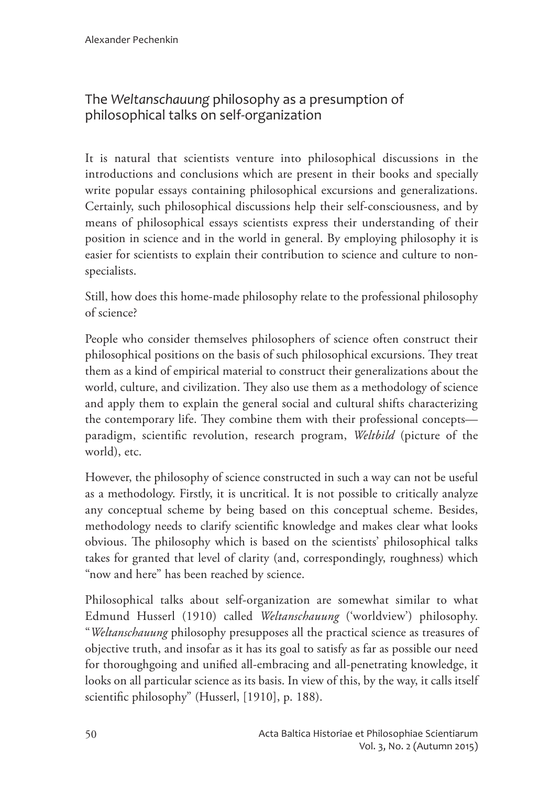# The Weltanschauung philosophy as a presumption of philosophical talks on self-organization

It is natural that scientists venture into philosophical discussions in the introductions and conclusions which are present in their books and specially write popular essays containing philosophical excursions and generalizations. Certainly, such philosophical discussions help their self-consciousness, and by means of philosophical essays scientists express their understanding of their position in science and in the world in general. By employing philosophy it is easier for scientists to explain their contribution to science and culture to nonspecialists.

Still, how does this home-made philosophy relate to the professional philosophy of science?

People who consider themselves philosophers of science often construct their philosophical positions on the basis of such philosophical excursions. They treat them as a kind of empirical material to construct their generalizations about the world, culture, and civilization. They also use them as a methodology of science and apply them to explain the general social and cultural shifts characterizing the contemporary life. They combine them with their professional concepts paradigm, scientific revolution, research program, Weltbild (picture of the world), etc.

However, the philosophy of science constructed in such a way can not be useful as a methodology. Firstly, it is uncritical. It is not possible to critically analyze any conceptual scheme by being based on this conceptual scheme. Besides, methodology needs to clarify scientific knowledge and makes clear what looks obvious. The philosophy which is based on the scientists' philosophical talks takes for granted that level of clarity (and, correspondingly, roughness) which "now and here" has been reached by science.

Philosophical talks about self-organization are somewhat similar to what Edmund Husserl (1910) called Weltanschauung ('worldview') philosophy. "Weltanschauung philosophy presupposes all the practical science as treasures of objective truth, and insofar as it has its goal to satisfy as far as possible our need for thoroughgoing and unified all-embracing and all-penetrating knowledge, it looks on all particular science as its basis. In view of this, by the way, it calls itself scientific philosophy" (Husserl, [1910], p. 188).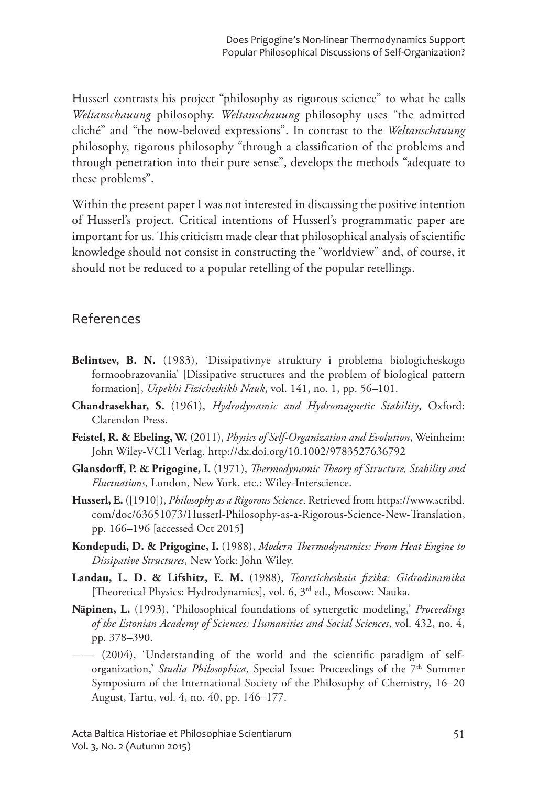Husserl contrasts his project "philosophy as rigorous science" to what he calls Weltanschauung philosophy. Weltanschauung philosophy uses "the admitted cliché" and "the now-beloved expressions". In contrast to the Weltanschauung philosophy, rigorous philosophy "through a classification of the problems and through penetration into their pure sense", develops the methods "adequate to these problems".

Within the present paper I was not interested in discussing the positive intention of Husserl's project. Critical intentions of Husserl's programmatic paper are important for us. This criticism made clear that philosophical analysis of scientific knowledge should not consist in constructing the "worldview" and, of course, it should not be reduced to a popular retelling of the popular retellings.

## References

- Belintsev, B. N. (1983), 'Dissipativnye struktury i problema biologicheskogo formoobrazovaniia' [Dissipative structures and the problem of biological pattern formation], Uspekhi Fizicheskikh Nauk, vol. 141, no. 1, pp. 56-101.
- Chandrasekhar, S. (1961), Hydrodynamic and Hydromagnetic Stability, Oxford: Clarendon Press.
- Feistel, R. & Ebeling, W. (2011), Physics of Self-Organization and Evolution, Weinheim: John Wiley-VCH Verlag. http://dx.doi.org/10.1002/9783527636792
- Glansdorff, P. & Prigogine, I. (1971), Thermodynamic Theory of Structure, Stability and Fluctuations, London, New York, etc.: Wiley-Interscience.
- Husserl, E. ([1910]), *Philosophy as a Rigorous Science*. Retrieved from https://www.scribd. com/doc/63651073/Husserl-Philosophy-as-a-Rigorous-Science-New-Translation, pp. 166–196 [accessed Oct 2015]
- Kondepudi, D. & Prigogine, I. (1988), Modern Thermodynamics: From Heat Engine to Dissipative Structures, New York: John Wiley.
- Landau, L. D. & Lifshitz, E. M. (1988), Teoreticheskaia fizika: Gidrodinamika [Theoretical Physics: Hydrodynamics], vol. 6, 3<sup>rd</sup> ed., Moscow: Nauka.
- Näpinen, L. (1993), 'Philosophical foundations of synergetic modeling,' Proceedings of the Estonian Academy of Sciences: Humanities and Social Sciences, vol. 432, no. 4, pp. 378-390.
- $-$  (2004), 'Understanding of the world and the scientific paradigm of selforganization,' *Studia Philosophica*, Special Issue: Proceedings of the 7<sup>th</sup> Summer Symposium of the International Society of the Philosophy of Chemistry, 16-20 August, Tartu, vol. 4, no. 40, pp. 146–177.